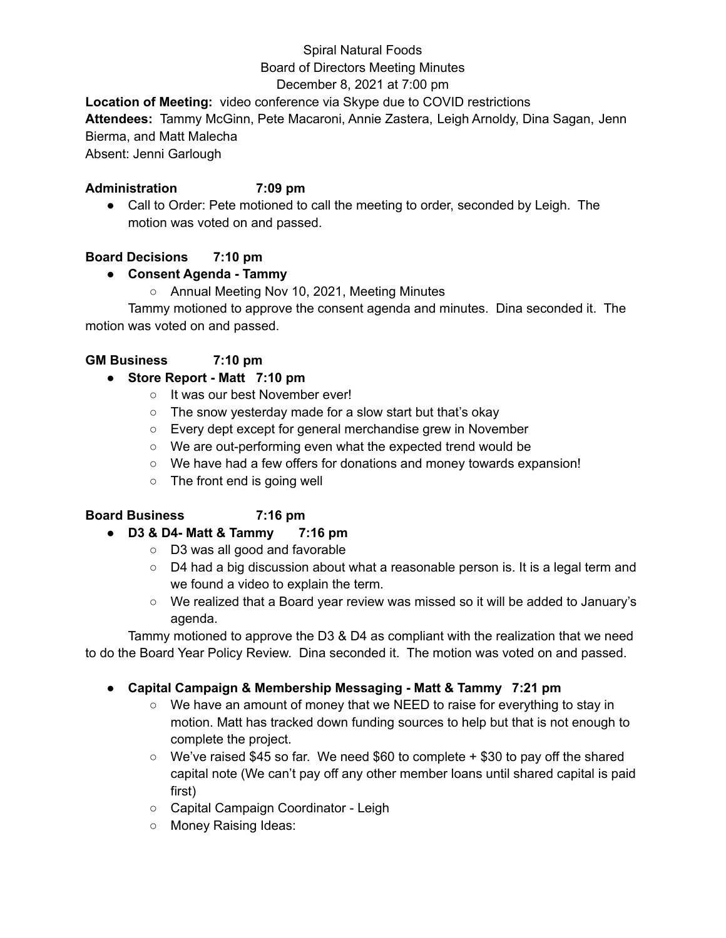# Spiral Natural Foods Board of Directors Meeting Minutes

# December 8, 2021 at 7:00 pm

**Location of Meeting:** video conference via Skype due to COVID restrictions

**Attendees:** Tammy McGinn, Pete Macaroni, Annie Zastera, Leigh Arnoldy, Dina Sagan, Jenn Bierma, and Matt Malecha

Absent: Jenni Garlough

#### **Administration 7:09 pm**

● Call to Order: Pete motioned to call the meeting to order, seconded by Leigh. The motion was voted on and passed.

# **Board Decisions 7:10 pm**

# **● Consent Agenda - Tammy**

○ Annual Meeting Nov 10, 2021, Meeting Minutes

Tammy motioned to approve the consent agenda and minutes. Dina seconded it. The motion was voted on and passed.

# **GM Business 7:10 pm**

#### **● Store Report - Matt 7:10 pm**

- It was our best November ever!
- The snow yesterday made for a slow start but that's okay
- Every dept except for general merchandise grew in November
- We are out-performing even what the expected trend would be
- We have had a few offers for donations and money towards expansion!
- The front end is going well

#### **Board Business 7:16 pm**

#### **● D3 & D4- Matt & Tammy 7:16 pm**

- D3 was all good and favorable
- D4 had a big discussion about what a reasonable person is. It is a legal term and we found a video to explain the term.
- We realized that a Board year review was missed so it will be added to January's agenda.

Tammy motioned to approve the D3 & D4 as compliant with the realization that we need to do the Board Year Policy Review. Dina seconded it. The motion was voted on and passed.

#### **● Capital Campaign & Membership Messaging - Matt & Tammy 7:21 pm**

- We have an amount of money that we NEED to raise for everything to stay in motion. Matt has tracked down funding sources to help but that is not enough to complete the project.
- $\circ$  We've raised \$45 so far. We need \$60 to complete  $+$  \$30 to pay off the shared capital note (We can't pay off any other member loans until shared capital is paid first)
- Capital Campaign Coordinator Leigh
- Money Raising Ideas: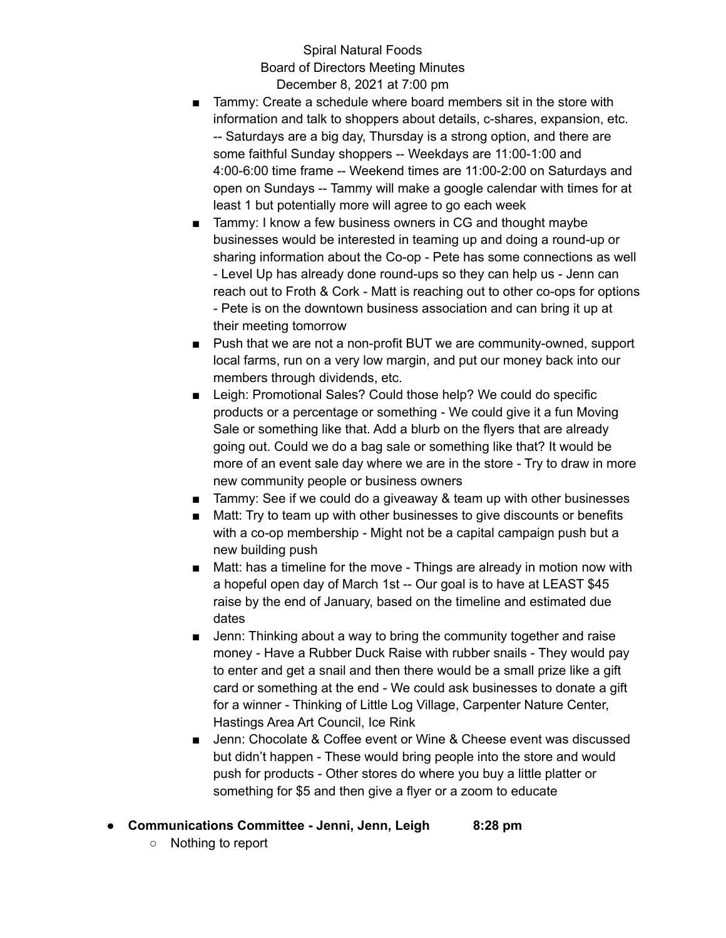Spiral Natural Foods Board of Directors Meeting Minutes December 8, 2021 at 7:00 pm

- Tammy: Create a schedule where board members sit in the store with information and talk to shoppers about details, c-shares, expansion, etc. -- Saturdays are a big day, Thursday is a strong option, and there are some faithful Sunday shoppers -- Weekdays are 11:00-1:00 and 4:00-6:00 time frame -- Weekend times are 11:00-2:00 on Saturdays and open on Sundays -- Tammy will make a google calendar with times for at least 1 but potentially more will agree to go each week
- Tammy: I know a few business owners in CG and thought maybe businesses would be interested in teaming up and doing a round-up or sharing information about the Co-op - Pete has some connections as well - Level Up has already done round-ups so they can help us - Jenn can reach out to Froth & Cork - Matt is reaching out to other co-ops for options - Pete is on the downtown business association and can bring it up at their meeting tomorrow
- Push that we are not a non-profit BUT we are community-owned, support local farms, run on a very low margin, and put our money back into our members through dividends, etc.
- Leigh: Promotional Sales? Could those help? We could do specific products or a percentage or something - We could give it a fun Moving Sale or something like that. Add a blurb on the flyers that are already going out. Could we do a bag sale or something like that? It would be more of an event sale day where we are in the store - Try to draw in more new community people or business owners
- Tammy: See if we could do a giveaway & team up with other businesses
- Matt: Try to team up with other businesses to give discounts or benefits with a co-op membership - Might not be a capital campaign push but a new building push
- Matt: has a timeline for the move Things are already in motion now with a hopeful open day of March 1st -- Our goal is to have at LEAST \$45 raise by the end of January, based on the timeline and estimated due dates
- Jenn: Thinking about a way to bring the community together and raise money - Have a Rubber Duck Raise with rubber snails - They would pay to enter and get a snail and then there would be a small prize like a gift card or something at the end - We could ask businesses to donate a gift for a winner - Thinking of Little Log Village, Carpenter Nature Center, Hastings Area Art Council, Ice Rink
- Jenn: Chocolate & Coffee event or Wine & Cheese event was discussed but didn't happen - These would bring people into the store and would push for products - Other stores do where you buy a little platter or something for \$5 and then give a flyer or a zoom to educate
- **● Communications Committee - Jenni, Jenn, Leigh 8:28 pm**
	- Nothing to report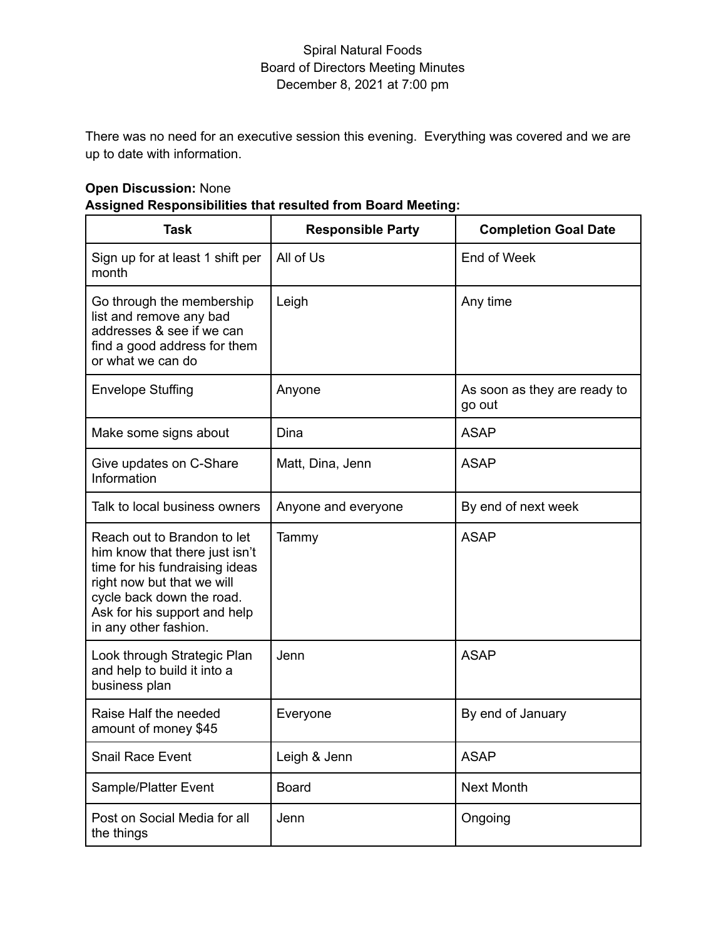#### Spiral Natural Foods Board of Directors Meeting Minutes December 8, 2021 at 7:00 pm

There was no need for an executive session this evening. Everything was covered and we are up to date with information.

# **Open Discussion:** None **Assigned Responsibilities that resulted from Board Meeting:**

| Task                                                                                                                                                                                                                | <b>Responsible Party</b> | <b>Completion Goal Date</b>            |
|---------------------------------------------------------------------------------------------------------------------------------------------------------------------------------------------------------------------|--------------------------|----------------------------------------|
| Sign up for at least 1 shift per<br>month                                                                                                                                                                           | All of Us                | End of Week                            |
| Go through the membership<br>list and remove any bad<br>addresses & see if we can<br>find a good address for them<br>or what we can do                                                                              | Leigh                    | Any time                               |
| <b>Envelope Stuffing</b>                                                                                                                                                                                            | Anyone                   | As soon as they are ready to<br>go out |
| Make some signs about                                                                                                                                                                                               | Dina                     | <b>ASAP</b>                            |
| Give updates on C-Share<br>Information                                                                                                                                                                              | Matt, Dina, Jenn         | <b>ASAP</b>                            |
| Talk to local business owners                                                                                                                                                                                       | Anyone and everyone      | By end of next week                    |
| Reach out to Brandon to let<br>him know that there just isn't<br>time for his fundraising ideas<br>right now but that we will<br>cycle back down the road.<br>Ask for his support and help<br>in any other fashion. | Tammy                    | <b>ASAP</b>                            |
| Look through Strategic Plan<br>and help to build it into a<br>business plan                                                                                                                                         | Jenn                     | <b>ASAP</b>                            |
| Raise Half the needed<br>amount of money \$45                                                                                                                                                                       | Everyone                 | By end of January                      |
| <b>Snail Race Event</b>                                                                                                                                                                                             | Leigh & Jenn             | <b>ASAP</b>                            |
| Sample/Platter Event                                                                                                                                                                                                | <b>Board</b>             | <b>Next Month</b>                      |
| Post on Social Media for all<br>the things                                                                                                                                                                          | Jenn                     | Ongoing                                |